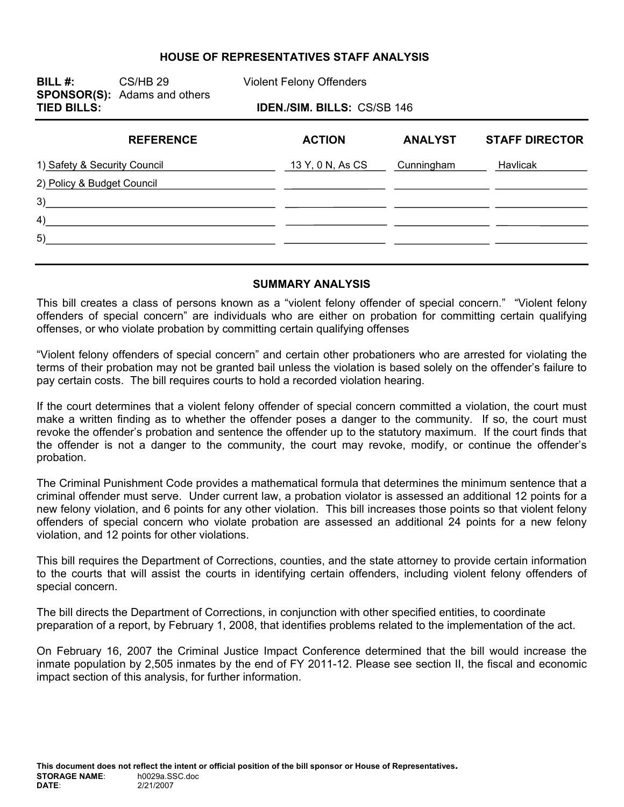#### **HOUSE OF REPRESENTATIVES STAFF ANALYSIS**

**BILL #:** CS/HB 29 Violent Felony Offenders **SPONSOR(S):** Adams and others **IDEN./SIM. BILLS: CS/SB 146 REFERENCE ACTION ANALYST STAFF DIRECTOR**  1) Safety & Security Council 13 Y, 0 N, As CS Cunningham Havlicak 2) Policy & Budget Council

| л |  |  |
|---|--|--|
| - |  |  |

3)

#### **SUMMARY ANALYSIS**

This bill creates a class of persons known as a "violent felony offender of special concern." "Violent felony offenders of special concern" are individuals who are either on probation for committing certain qualifying offenses, or who violate probation by committing certain qualifying offenses

"Violent felony offenders of special concern" and certain other probationers who are arrested for violating the terms of their probation may not be granted bail unless the violation is based solely on the offender's failure to pay certain costs. The bill requires courts to hold a recorded violation hearing.

If the court determines that a violent felony offender of special concern committed a violation, the court must make a written finding as to whether the offender poses a danger to the community. If so, the court must revoke the offender's probation and sentence the offender up to the statutory maximum. If the court finds that the offender is not a danger to the community, the court may revoke, modify, or continue the offender's probation.

The Criminal Punishment Code provides a mathematical formula that determines the minimum sentence that a criminal offender must serve. Under current law, a probation violator is assessed an additional 12 points for a new felony violation, and 6 points for any other violation. This bill increases those points so that violent felony offenders of special concern who violate probation are assessed an additional 24 points for a new felony violation, and 12 points for other violations.

This bill requires the Department of Corrections, counties, and the state attorney to provide certain information to the courts that will assist the courts in identifying certain offenders, including violent felony offenders of special concern.

The bill directs the Department of Corrections, in conjunction with other specified entities, to coordinate preparation of a report, by February 1, 2008, that identifies problems related to the implementation of the act.

On February 16, 2007 the Criminal Justice Impact Conference determined that the bill would increase the inmate population by 2,505 inmates by the end of FY 2011-12. Please see section II, the fiscal and economic impact section of this analysis, for further information.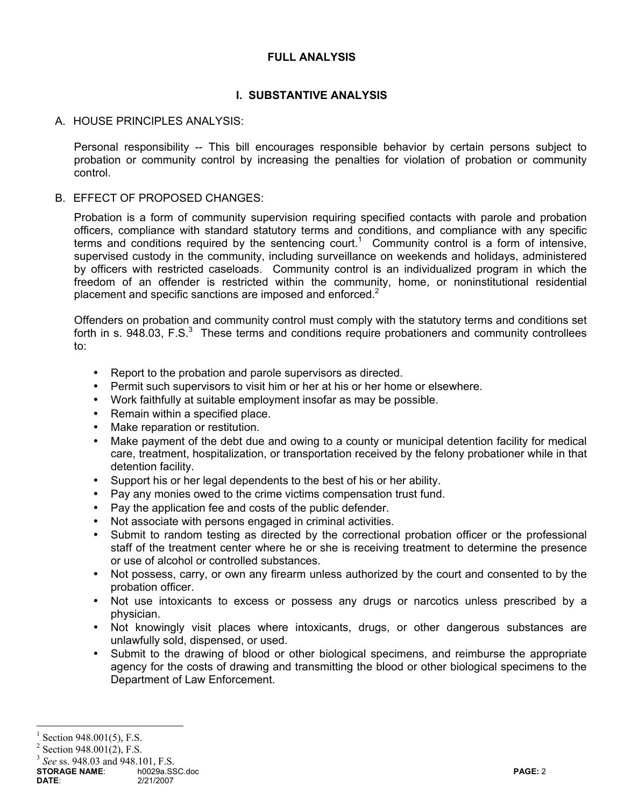## **FULL ANALYSIS**

## **I. SUBSTANTIVE ANALYSIS**

## A. HOUSE PRINCIPLES ANALYSIS:

Personal responsibility -- This bill encourages responsible behavior by certain persons subject to probation or community control by increasing the penalties for violation of probation or community control.

### B. EFFECT OF PROPOSED CHANGES:

Probation is a form of community supervision requiring specified contacts with parole and probation officers, compliance with standard statutory terms and conditions, and compliance with any specific terms and conditions required by the sentencing court.<sup>1</sup> Community control is a form of intensive, supervised custody in the community, including surveillance on weekends and holidays, administered by officers with restricted caseloads. Community control is an individualized program in which the freedom of an offender is restricted within the community, home, or noninstitutional residential placement and specific sanctions are imposed and enforced.<sup>2</sup>

Offenders on probation and community control must comply with the statutory terms and conditions set forth in s. 948.03, F.S. $3$  These terms and conditions require probationers and community controllees to:

- Report to the probation and parole supervisors as directed.
- Permit such supervisors to visit him or her at his or her home or elsewhere.
- Work faithfully at suitable employment insofar as may be possible.
- Remain within a specified place.
- Make reparation or restitution.
- Make payment of the debt due and owing to a county or municipal detention facility for medical care, treatment, hospitalization, or transportation received by the felony probationer while in that detention facility.
- Support his or her legal dependents to the best of his or her ability.
- Pay any monies owed to the crime victims compensation trust fund.
- Pay the application fee and costs of the public defender.
- Not associate with persons engaged in criminal activities.
- Submit to random testing as directed by the correctional probation officer or the professional staff of the treatment center where he or she is receiving treatment to determine the presence or use of alcohol or controlled substances.
- Not possess, carry, or own any firearm unless authorized by the court and consented to by the probation officer.
- Not use intoxicants to excess or possess any drugs or narcotics unless prescribed by a physician.
- Not knowingly visit places where intoxicants, drugs, or other dangerous substances are unlawfully sold, dispensed, or used.
- Submit to the drawing of blood or other biological specimens, and reimburse the appropriate agency for the costs of drawing and transmitting the blood or other biological specimens to the Department of Law Enforcement.

 $\overline{a}$ 

<sup>1</sup> Section 948.001(5), F.S.

 $2$  Section 948.001(2), F.S.

<sup>3</sup> *See* ss. 948.03 and 948.101, F.S.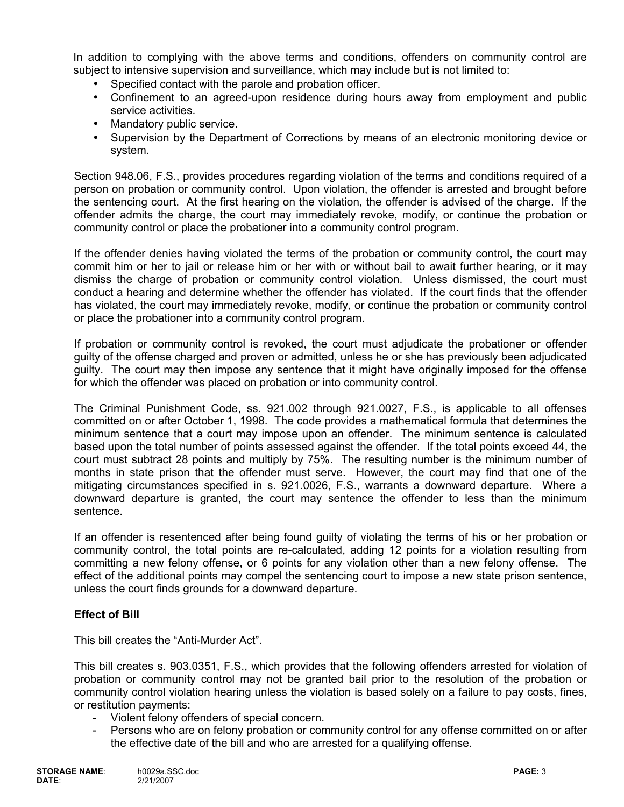In addition to complying with the above terms and conditions, offenders on community control are subject to intensive supervision and surveillance, which may include but is not limited to:

- Specified contact with the parole and probation officer.
- Confinement to an agreed-upon residence during hours away from employment and public service activities.
- Mandatory public service.
- Supervision by the Department of Corrections by means of an electronic monitoring device or system.

Section 948.06, F.S., provides procedures regarding violation of the terms and conditions required of a person on probation or community control. Upon violation, the offender is arrested and brought before the sentencing court. At the first hearing on the violation, the offender is advised of the charge. If the offender admits the charge, the court may immediately revoke, modify, or continue the probation or community control or place the probationer into a community control program.

If the offender denies having violated the terms of the probation or community control, the court may commit him or her to jail or release him or her with or without bail to await further hearing, or it may dismiss the charge of probation or community control violation. Unless dismissed, the court must conduct a hearing and determine whether the offender has violated. If the court finds that the offender has violated, the court may immediately revoke, modify, or continue the probation or community control or place the probationer into a community control program.

If probation or community control is revoked, the court must adjudicate the probationer or offender guilty of the offense charged and proven or admitted, unless he or she has previously been adjudicated guilty. The court may then impose any sentence that it might have originally imposed for the offense for which the offender was placed on probation or into community control.

The Criminal Punishment Code, ss. 921.002 through 921.0027, F.S., is applicable to all offenses committed on or after October 1, 1998. The code provides a mathematical formula that determines the minimum sentence that a court may impose upon an offender. The minimum sentence is calculated based upon the total number of points assessed against the offender. If the total points exceed 44, the court must subtract 28 points and multiply by 75%. The resulting number is the minimum number of months in state prison that the offender must serve. However, the court may find that one of the mitigating circumstances specified in s. 921.0026, F.S., warrants a downward departure. Where a downward departure is granted, the court may sentence the offender to less than the minimum sentence.

If an offender is resentenced after being found guilty of violating the terms of his or her probation or community control, the total points are re-calculated, adding 12 points for a violation resulting from committing a new felony offense, or 6 points for any violation other than a new felony offense. The effect of the additional points may compel the sentencing court to impose a new state prison sentence, unless the court finds grounds for a downward departure.

## **Effect of Bill**

This bill creates the "Anti-Murder Act".

This bill creates s. 903.0351, F.S., which provides that the following offenders arrested for violation of probation or community control may not be granted bail prior to the resolution of the probation or community control violation hearing unless the violation is based solely on a failure to pay costs, fines, or restitution payments:

- Violent felony offenders of special concern.
- Persons who are on felony probation or community control for any offense committed on or after the effective date of the bill and who are arrested for a qualifying offense.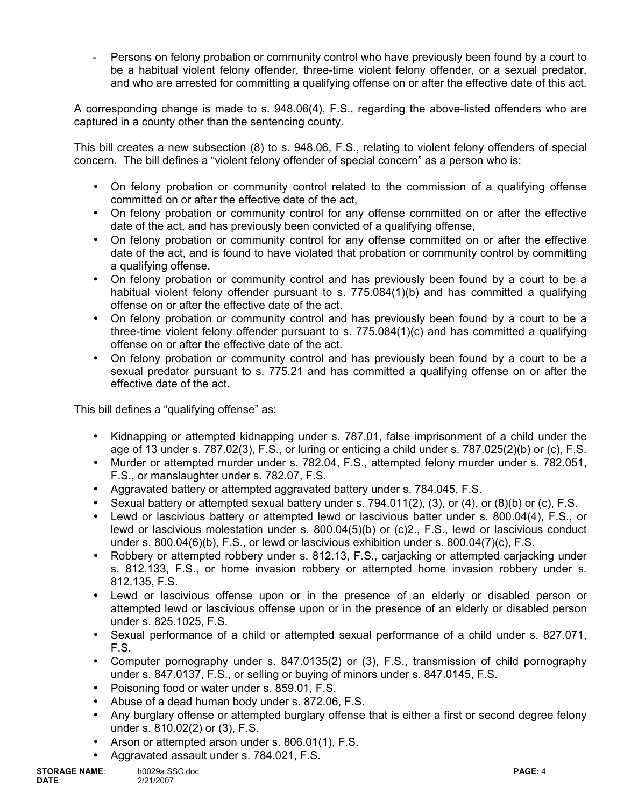Persons on felony probation or community control who have previously been found by a court to be a habitual violent felony offender, three-time violent felony offender, or a sexual predator, and who are arrested for committing a qualifying offense on or after the effective date of this act.

A corresponding change is made to s. 948.06(4), F.S., regarding the above-listed offenders who are captured in a county other than the sentencing county.

This bill creates a new subsection (8) to s. 948.06, F.S., relating to violent felony offenders of special concern. The bill defines a "violent felony offender of special concern" as a person who is:

- On felony probation or community control related to the commission of a qualifying offense committed on or after the effective date of the act,
- On felony probation or community control for any offense committed on or after the effective date of the act, and has previously been convicted of a qualifying offense,
- On felony probation or community control for any offense committed on or after the effective date of the act, and is found to have violated that probation or community control by committing a qualifying offense.
- On felony probation or community control and has previously been found by a court to be a habitual violent felony offender pursuant to s. 775.084(1)(b) and has committed a qualifying offense on or after the effective date of the act.
- On felony probation or community control and has previously been found by a court to be a three-time violent felony offender pursuant to s. 775.084(1)(c) and has committed a qualifying offense on or after the effective date of the act.
- On felony probation or community control and has previously been found by a court to be a sexual predator pursuant to s. 775.21 and has committed a qualifying offense on or after the effective date of the act.

This bill defines a "qualifying offense" as:

- Kidnapping or attempted kidnapping under s. 787.01, false imprisonment of a child under the age of 13 under s. 787.02(3), F.S., or luring or enticing a child under s. 787.025(2)(b) or (c), F.S.
- Murder or attempted murder under s. 782.04, F.S., attempted felony murder under s. 782.051, F.S., or manslaughter under s. 782.07, F.S.
- Aggravated battery or attempted aggravated battery under s. 784.045, F.S.
- Sexual battery or attempted sexual battery under s.  $794.011(2)$ ,  $(3)$ , or  $(4)$ , or  $(8)(b)$  or  $(c)$ , F.S.
- Lewd or lascivious battery or attempted lewd or lascivious batter under s. 800.04(4), F.S., or lewd or lascivious molestation under s. 800.04(5)(b) or (c)2., F.S., lewd or lascivious conduct under s. 800.04(6)(b), F.S., or lewd or lascivious exhibition under s. 800.04(7)(c), F.S.
- Robbery or attempted robbery under s. 812.13, F.S., cariacking or attempted cariacking under s. 812.133, F.S., or home invasion robbery or attempted home invasion robbery under s. 812.135, F.S.
- Lewd or lascivious offense upon or in the presence of an elderly or disabled person or attempted lewd or lascivious offense upon or in the presence of an elderly or disabled person under s. 825.1025, F.S.
- Sexual performance of a child or attempted sexual performance of a child under s. 827.071, F.S.
- Computer pornography under s. 847.0135(2) or (3), F.S., transmission of child pornography under s. 847.0137, F.S., or selling or buying of minors under s. 847.0145, F.S.
- Poisoning food or water under s. 859.01, F.S.
- Abuse of a dead human body under s. 872.06, F.S.
- Any burglary offense or attempted burglary offense that is either a first or second degree felony under s. 810.02(2) or (3), F.S.
- Arson or attempted arson under s. 806.01(1), F.S.
- Aggravated assault under s. 784.021, F.S.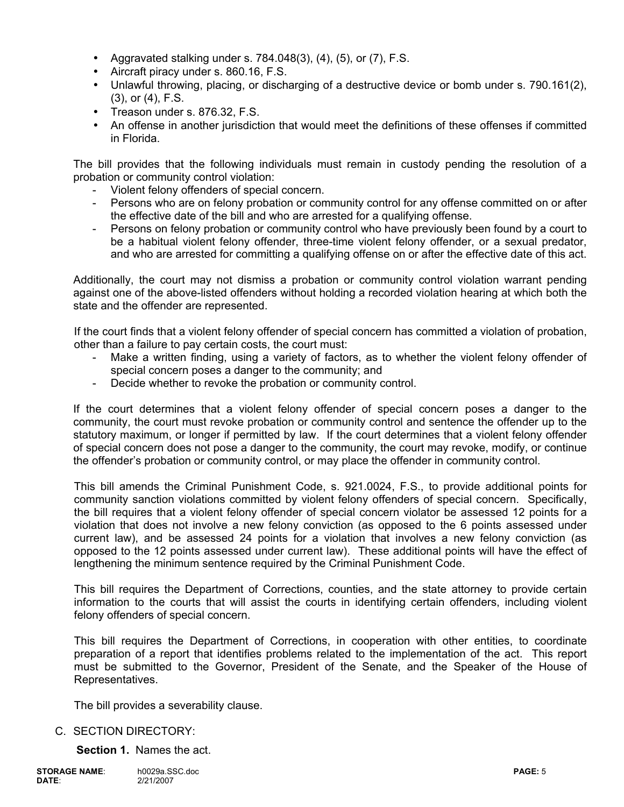- Aggravated stalking under s.  $784.048(3)$ ,  $(4)$ ,  $(5)$ , or  $(7)$ , F.S.
- Aircraft piracy under s. 860.16, F.S.
- Unlawful throwing, placing, or discharging of a destructive device or bomb under s. 790.161(2), (3), or (4), F.S.
- Treason under s. 876.32, F.S.
- An offense in another jurisdiction that would meet the definitions of these offenses if committed in Florida.

The bill provides that the following individuals must remain in custody pending the resolution of a probation or community control violation:

- Violent felony offenders of special concern.
- Persons who are on felony probation or community control for any offense committed on or after the effective date of the bill and who are arrested for a qualifying offense.
- Persons on felony probation or community control who have previously been found by a court to be a habitual violent felony offender, three-time violent felony offender, or a sexual predator, and who are arrested for committing a qualifying offense on or after the effective date of this act.

Additionally, the court may not dismiss a probation or community control violation warrant pending against one of the above-listed offenders without holding a recorded violation hearing at which both the state and the offender are represented.

If the court finds that a violent felony offender of special concern has committed a violation of probation, other than a failure to pay certain costs, the court must:

- Make a written finding, using a variety of factors, as to whether the violent felony offender of special concern poses a danger to the community; and
- Decide whether to revoke the probation or community control.

If the court determines that a violent felony offender of special concern poses a danger to the community, the court must revoke probation or community control and sentence the offender up to the statutory maximum, or longer if permitted by law. If the court determines that a violent felony offender of special concern does not pose a danger to the community, the court may revoke, modify, or continue the offender's probation or community control, or may place the offender in community control.

This bill amends the Criminal Punishment Code, s. 921.0024, F.S., to provide additional points for community sanction violations committed by violent felony offenders of special concern. Specifically, the bill requires that a violent felony offender of special concern violator be assessed 12 points for a violation that does not involve a new felony conviction (as opposed to the 6 points assessed under current law), and be assessed 24 points for a violation that involves a new felony conviction (as opposed to the 12 points assessed under current law). These additional points will have the effect of lengthening the minimum sentence required by the Criminal Punishment Code.

This bill requires the Department of Corrections, counties, and the state attorney to provide certain information to the courts that will assist the courts in identifying certain offenders, including violent felony offenders of special concern.

This bill requires the Department of Corrections, in cooperation with other entities, to coordinate preparation of a report that identifies problems related to the implementation of the act. This report must be submitted to the Governor, President of the Senate, and the Speaker of the House of Representatives.

The bill provides a severability clause.

### C. SECTION DIRECTORY:

**Section 1.** Names the act.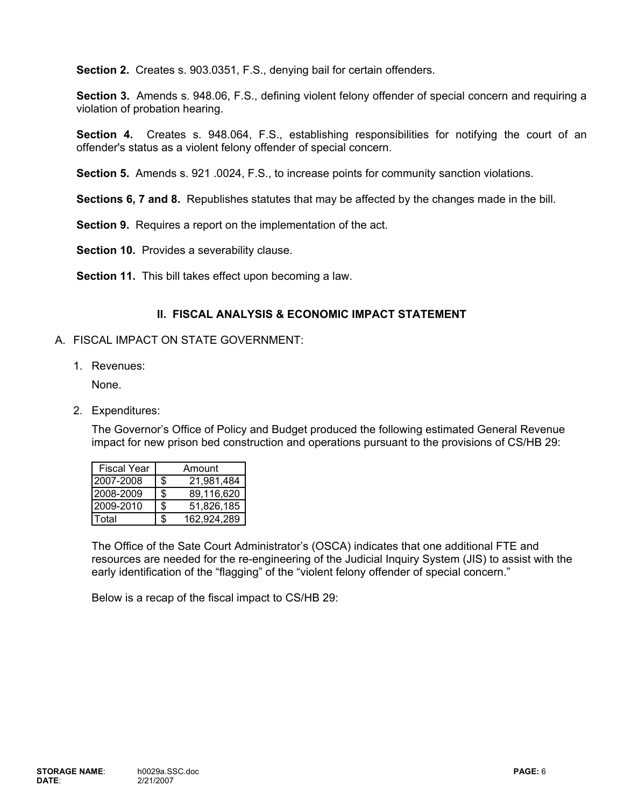**Section 2.** Creates s. 903.0351, F.S., denying bail for certain offenders.

**Section 3.** Amends s. 948.06, F.S., defining violent felony offender of special concern and requiring a violation of probation hearing.

**Section 4.** Creates s. 948.064, F.S., establishing responsibilities for notifying the court of an offender's status as a violent felony offender of special concern.

**Section 5.** Amends s. 921 .0024, F.S., to increase points for community sanction violations.

**Sections 6, 7 and 8.** Republishes statutes that may be affected by the changes made in the bill.

**Section 9.** Requires a report on the implementation of the act.

**Section 10.** Provides a severability clause.

**Section 11.** This bill takes effect upon becoming a law.

### **II. FISCAL ANALYSIS & ECONOMIC IMPACT STATEMENT**

#### A. FISCAL IMPACT ON STATE GOVERNMENT:

1. Revenues:

None.

2. Expenditures:

The Governor's Office of Policy and Budget produced the following estimated General Revenue impact for new prison bed construction and operations pursuant to the provisions of CS/HB 29:

| <b>Fiscal Year</b> | Amount           |
|--------------------|------------------|
| 2007-2008          | \$<br>21,981,484 |
| 2008-2009          | \$<br>89,116,620 |
| 2009-2010          | \$<br>51,826,185 |
| otal <sup>-</sup>  | 162,924,289      |

The Office of the Sate Court Administrator's (OSCA) indicates that one additional FTE and resources are needed for the re-engineering of the Judicial Inquiry System (JIS) to assist with the early identification of the "flagging" of the "violent felony offender of special concern."

Below is a recap of the fiscal impact to CS/HB 29: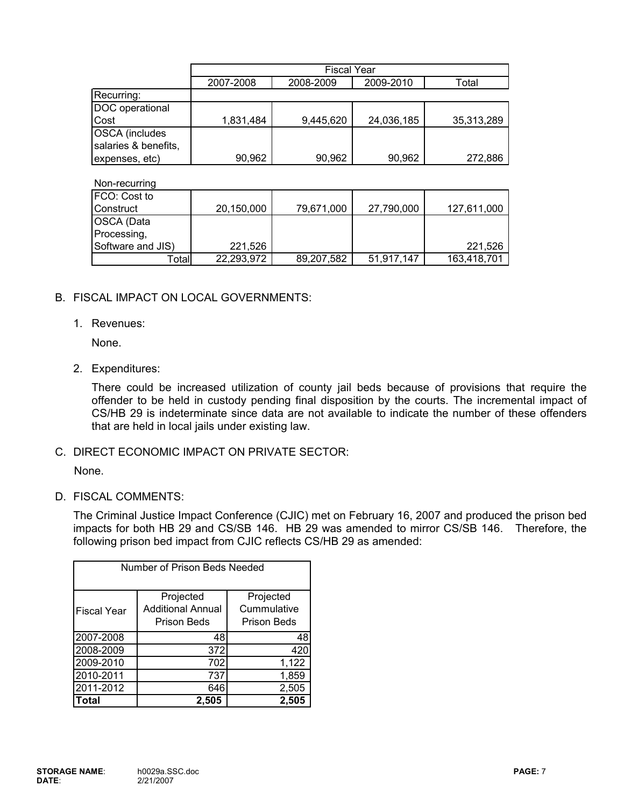|                                               | <b>Fiscal Year</b> |           |            |            |
|-----------------------------------------------|--------------------|-----------|------------|------------|
|                                               | 2007-2008          | 2008-2009 | 2009-2010  | Total      |
| Recurring:                                    |                    |           |            |            |
| DOC operational                               |                    |           |            |            |
| Cost                                          | 1,831,484          | 9,445,620 | 24,036,185 | 35,313,289 |
| <b>OSCA</b> (includes<br>salaries & benefits, |                    |           |            |            |
| expenses, etc)                                | 90,962             | 90,962    | 90,962     | 272,886    |

Non-recurring FCO: Cost to Construct 79,671,000 20,150,000 27,790,000 127,611,000 OSCA (Data Processing, Software and JIS) 221,526 221,526 Total 89,207,582 22,293,972 51,917,147 163,418,701

### B. FISCAL IMPACT ON LOCAL GOVERNMENTS:

#### 1. Revenues:

None.

2. Expenditures:

There could be increased utilization of county jail beds because of provisions that require the offender to be held in custody pending final disposition by the courts. The incremental impact of CS/HB 29 is indeterminate since data are not available to indicate the number of these offenders that are held in local jails under existing law.

C. DIRECT ECONOMIC IMPACT ON PRIVATE SECTOR:

None.

D. FISCAL COMMENTS:

The Criminal Justice Impact Conference (CJIC) met on February 16, 2007 and produced the prison bed impacts for both HB 29 and CS/SB 146. HB 29 was amended to mirror CS/SB 146. Therefore, the following prison bed impact from CJIC reflects CS/HB 29 as amended:

| Number of Prison Beds Needed |                                                      |                                                |  |  |
|------------------------------|------------------------------------------------------|------------------------------------------------|--|--|
| <b>Fiscal Year</b>           | Projected<br><b>Additional Annual</b><br>Prison Beds | Projected<br>Cummulative<br><b>Prison Beds</b> |  |  |
| 2007-2008                    | 48                                                   | 48                                             |  |  |
| 2008-2009                    | 372                                                  | 420                                            |  |  |
| 2009-2010                    | 702                                                  | 1,122                                          |  |  |
| 2010-2011                    | 737                                                  | 1,859                                          |  |  |
| 2011-2012                    | 646                                                  | 2,505                                          |  |  |
| Total                        | 2,505                                                | 2,505                                          |  |  |